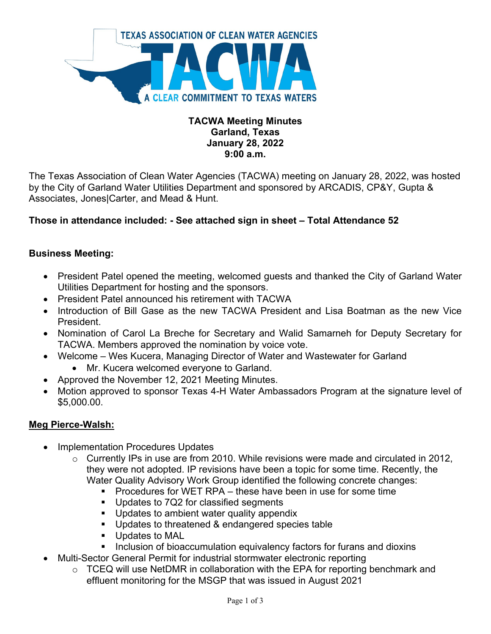

## **TACWA Meeting Minutes Garland, Texas January 28, 2022 9:00 a.m.**

The Texas Association of Clean Water Agencies (TACWA) meeting on January 28, 2022, was hosted by the City of Garland Water Utilities Department and sponsored by ARCADIS, CP&Y, Gupta & Associates, Jones|Carter, and Mead & Hunt.

# **Those in attendance included: - See attached sign in sheet – Total Attendance 52**

## **Business Meeting:**

- President Patel opened the meeting, welcomed guests and thanked the City of Garland Water Utilities Department for hosting and the sponsors.
- President Patel announced his retirement with TACWA
- Introduction of Bill Gase as the new TACWA President and Lisa Boatman as the new Vice President.
- Nomination of Carol La Breche for Secretary and Walid Samarneh for Deputy Secretary for TACWA. Members approved the nomination by voice vote.
- Welcome Wes Kucera, Managing Director of Water and Wastewater for Garland
	- Mr. Kucera welcomed everyone to Garland.
- Approved the November 12, 2021 Meeting Minutes.
- Motion approved to sponsor Texas 4-H Water Ambassadors Program at the signature level of \$5,000.00.

#### **Meg Pierce-Walsh:**

- Implementation Procedures Updates
	- o Currently IPs in use are from 2010. While revisions were made and circulated in 2012, they were not adopted. IP revisions have been a topic for some time. Recently, the Water Quality Advisory Work Group identified the following concrete changes:
		- Procedures for WET RPA these have been in use for some time
		- Updates to 7Q2 for classified segments
		- **Updates to ambient water quality appendix**
		- **Updates to threatened & endangered species table**
		- **Updates to MAL**
		- **Inclusion of bioaccumulation equivalency factors for furans and dioxins**
- Multi-Sector General Permit for industrial stormwater electronic reporting
	- o TCEQ will use NetDMR in collaboration with the EPA for reporting benchmark and effluent monitoring for the MSGP that was issued in August 2021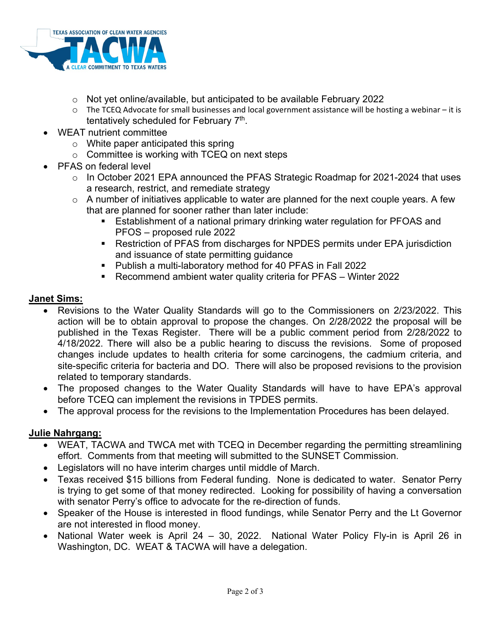

- $\circ$  Not yet online/available, but anticipated to be available February 2022
- o The TCEQ Advocate for small businesses and local government assistance will be hosting a webinar it is tentatively scheduled for February 7th.
- WEAT nutrient committee
	- o White paper anticipated this spring
	- $\circ$  Committee is working with TCEQ on next steps
- PFAS on federal level
	- o In October 2021 EPA announced the PFAS Strategic Roadmap for 2021-2024 that uses a research, restrict, and remediate strategy
	- $\circ$  A number of initiatives applicable to water are planned for the next couple years. A few that are planned for sooner rather than later include:
		- Establishment of a national primary drinking water regulation for PFOAS and PFOS – proposed rule 2022
		- Restriction of PFAS from discharges for NPDES permits under EPA jurisdiction and issuance of state permitting guidance
		- Publish a multi-laboratory method for 40 PFAS in Fall 2022
		- Recommend ambient water quality criteria for PFAS Winter 2022

### **Janet Sims:**

- Revisions to the Water Quality Standards will go to the Commissioners on 2/23/2022. This action will be to obtain approval to propose the changes. On 2/28/2022 the proposal will be published in the Texas Register. There will be a public comment period from 2/28/2022 to 4/18/2022. There will also be a public hearing to discuss the revisions. Some of proposed changes include updates to health criteria for some carcinogens, the cadmium criteria, and site-specific criteria for bacteria and DO. There will also be proposed revisions to the provision related to temporary standards.
- The proposed changes to the Water Quality Standards will have to have EPA's approval before TCEQ can implement the revisions in TPDES permits.
- The approval process for the revisions to the Implementation Procedures has been delayed.

#### **Julie Nahrgang:**

- WEAT, TACWA and TWCA met with TCEQ in December regarding the permitting streamlining effort. Comments from that meeting will submitted to the SUNSET Commission.
- Legislators will no have interim charges until middle of March.
- Texas received \$15 billions from Federal funding. None is dedicated to water. Senator Perry is trying to get some of that money redirected. Looking for possibility of having a conversation with senator Perry's office to advocate for the re-direction of funds.
- Speaker of the House is interested in flood fundings, while Senator Perry and the Lt Governor are not interested in flood money.
- National Water week is April 24 30, 2022. National Water Policy Fly-in is April 26 in Washington, DC. WEAT & TACWA will have a delegation.